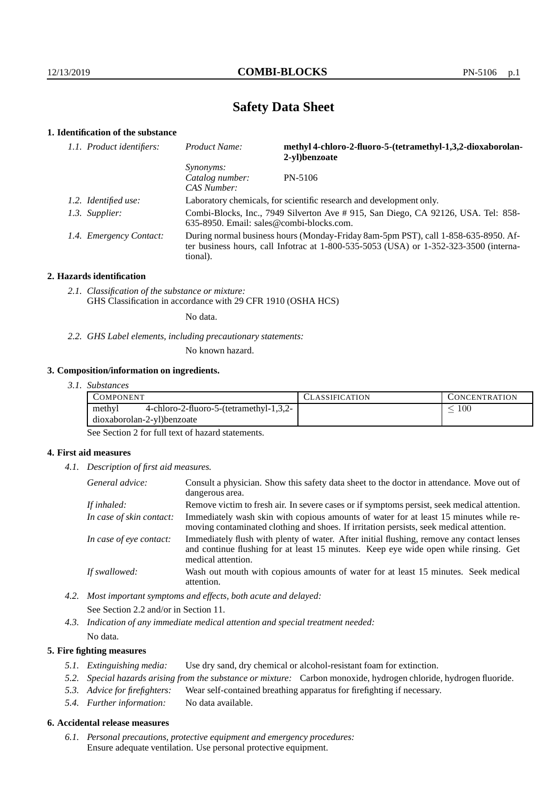## **Safety Data Sheet**

## **1. Identification of the substance**

| 1.1. Product identifiers: | Product Name:                                                                                                                                                                           | methyl 4-chloro-2-fluoro-5-(tetramethyl-1,3,2-dioxaborolan-<br>2-vl)benzoate |  |  |
|---------------------------|-----------------------------------------------------------------------------------------------------------------------------------------------------------------------------------------|------------------------------------------------------------------------------|--|--|
|                           | <i>Synonyms:</i><br>Catalog number:<br>CAS Number:                                                                                                                                      | PN-5106                                                                      |  |  |
| 1.2. Identified use:      | Laboratory chemicals, for scientific research and development only.                                                                                                                     |                                                                              |  |  |
| 1.3. Supplier:            | Combi-Blocks, Inc., 7949 Silverton Ave # 915, San Diego, CA 92126, USA. Tel: 858-<br>635-8950. Email: sales@combi-blocks.com.                                                           |                                                                              |  |  |
| 1.4. Emergency Contact:   | During normal business hours (Monday-Friday 8am-5pm PST), call 1-858-635-8950. Af-<br>ter business hours, call Infotrac at 1-800-535-5053 (USA) or 1-352-323-3500 (interna-<br>tional). |                                                                              |  |  |

#### **2. Hazards identification**

*2.1. Classification of the substance or mixture:* GHS Classification in accordance with 29 CFR 1910 (OSHA HCS)

No data.

*2.2. GHS Label elements, including precautionary statements:*

No known hazard.

#### **3. Composition/information on ingredients.**

*3.1. Substances*

| COMPONENT                  |                                         | CLASSIFICATION | CONCENTRATION. |
|----------------------------|-----------------------------------------|----------------|----------------|
| methyl                     | 4-chloro-2-fluoro-5-(tetramethyl-1,3,2- |                | 100            |
| dioxaborolan-2-yl)benzoate |                                         |                |                |

See Section 2 for full text of hazard statements.

### **4. First aid measures**

*4.1. Description of first aid measures.*

| General advice:          | Consult a physician. Show this safety data sheet to the doctor in attendance. Move out of<br>dangerous area.                                                                                            |
|--------------------------|---------------------------------------------------------------------------------------------------------------------------------------------------------------------------------------------------------|
| If inhaled:              | Remove victim to fresh air. In severe cases or if symptoms persist, seek medical attention.                                                                                                             |
| In case of skin contact: | Immediately wash skin with copious amounts of water for at least 15 minutes while re-<br>moving contaminated clothing and shoes. If irritation persists, seek medical attention.                        |
| In case of eye contact:  | Immediately flush with plenty of water. After initial flushing, remove any contact lenses<br>and continue flushing for at least 15 minutes. Keep eye wide open while rinsing. Get<br>medical attention. |
| If swallowed:            | Wash out mouth with copious amounts of water for at least 15 minutes. Seek medical<br>attention.                                                                                                        |

- *4.2. Most important symptoms and effects, both acute and delayed:* See Section 2.2 and/or in Section 11.
- *4.3. Indication of any immediate medical attention and special treatment needed:* No data.

## **5. Fire fighting measures**

- *5.1. Extinguishing media:* Use dry sand, dry chemical or alcohol-resistant foam for extinction.
- *5.2. Special hazards arising from the substance or mixture:* Carbon monoxide, hydrogen chloride, hydrogen fluoride.
- *5.3. Advice for firefighters:* Wear self-contained breathing apparatus for firefighting if necessary.
- *5.4. Further information:* No data available.

## **6. Accidental release measures**

*6.1. Personal precautions, protective equipment and emergency procedures:* Ensure adequate ventilation. Use personal protective equipment.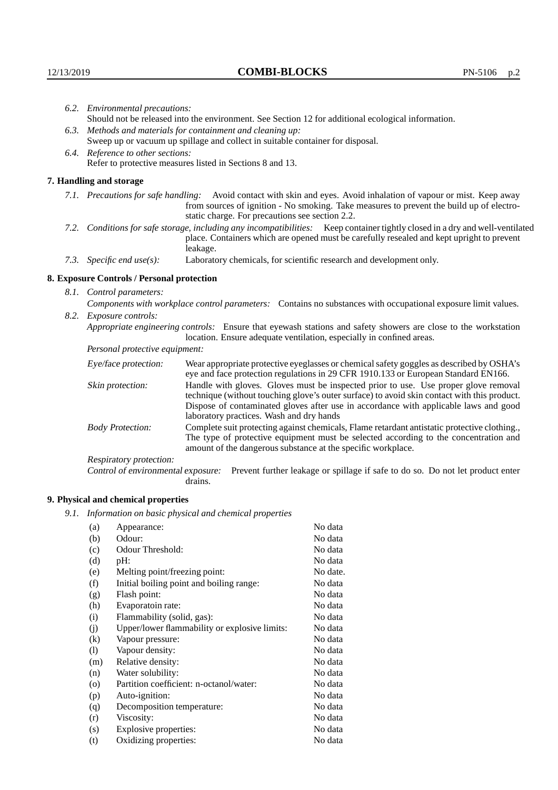| 6.2. Environmental precautions:                                                |                                                                                                                                                                                                                                                                    |                                                                                                                                                                                                                                                                                                                        |  |  |  |
|--------------------------------------------------------------------------------|--------------------------------------------------------------------------------------------------------------------------------------------------------------------------------------------------------------------------------------------------------------------|------------------------------------------------------------------------------------------------------------------------------------------------------------------------------------------------------------------------------------------------------------------------------------------------------------------------|--|--|--|
|                                                                                |                                                                                                                                                                                                                                                                    | Should not be released into the environment. See Section 12 for additional ecological information.                                                                                                                                                                                                                     |  |  |  |
|                                                                                |                                                                                                                                                                                                                                                                    | 6.3. Methods and materials for containment and cleaning up:                                                                                                                                                                                                                                                            |  |  |  |
| Sweep up or vacuum up spillage and collect in suitable container for disposal. |                                                                                                                                                                                                                                                                    |                                                                                                                                                                                                                                                                                                                        |  |  |  |
| 6.4. Reference to other sections:                                              |                                                                                                                                                                                                                                                                    |                                                                                                                                                                                                                                                                                                                        |  |  |  |
|                                                                                |                                                                                                                                                                                                                                                                    | Refer to protective measures listed in Sections 8 and 13.                                                                                                                                                                                                                                                              |  |  |  |
|                                                                                | 7. Handling and storage                                                                                                                                                                                                                                            |                                                                                                                                                                                                                                                                                                                        |  |  |  |
|                                                                                | 7.1. Precautions for safe handling: Avoid contact with skin and eyes. Avoid inhalation of vapour or mist. Keep away<br>from sources of ignition - No smoking. Take measures to prevent the build up of electro-<br>static charge. For precautions see section 2.2. |                                                                                                                                                                                                                                                                                                                        |  |  |  |
|                                                                                |                                                                                                                                                                                                                                                                    | 7.2. Conditions for safe storage, including any incompatibilities: Keep container tightly closed in a dry and well-ventilated<br>place. Containers which are opened must be carefully resealed and kept upright to prevent<br>leakage.                                                                                 |  |  |  |
|                                                                                | 7.3. Specific end use(s):                                                                                                                                                                                                                                          | Laboratory chemicals, for scientific research and development only.                                                                                                                                                                                                                                                    |  |  |  |
|                                                                                | 8. Exposure Controls / Personal protection                                                                                                                                                                                                                         |                                                                                                                                                                                                                                                                                                                        |  |  |  |
|                                                                                | 8.1. Control parameters:                                                                                                                                                                                                                                           |                                                                                                                                                                                                                                                                                                                        |  |  |  |
|                                                                                |                                                                                                                                                                                                                                                                    | Components with workplace control parameters: Contains no substances with occupational exposure limit values.                                                                                                                                                                                                          |  |  |  |
|                                                                                | 8.2. Exposure controls:                                                                                                                                                                                                                                            |                                                                                                                                                                                                                                                                                                                        |  |  |  |
|                                                                                | Appropriate engineering controls: Ensure that eyewash stations and safety showers are close to the workstation<br>location. Ensure adequate ventilation, especially in confined areas.                                                                             |                                                                                                                                                                                                                                                                                                                        |  |  |  |
|                                                                                | Personal protective equipment:                                                                                                                                                                                                                                     |                                                                                                                                                                                                                                                                                                                        |  |  |  |
|                                                                                | Eye/face protection:                                                                                                                                                                                                                                               | Wear appropriate protective eyeglasses or chemical safety goggles as described by OSHA's<br>eye and face protection regulations in 29 CFR 1910.133 or European Standard EN166.                                                                                                                                         |  |  |  |
|                                                                                | Skin protection:                                                                                                                                                                                                                                                   | Handle with gloves. Gloves must be inspected prior to use. Use proper glove removal<br>technique (without touching glove's outer surface) to avoid skin contact with this product.<br>Dispose of contaminated gloves after use in accordance with applicable laws and good<br>laboratory practices. Wash and dry hands |  |  |  |
|                                                                                | <b>Body Protection:</b>                                                                                                                                                                                                                                            | Complete suit protecting against chemicals, Flame retardant antistatic protective clothing.,<br>The type of protective equipment must be selected according to the concentration and<br>amount of the dangerous substance at the specific workplace.                                                                   |  |  |  |
|                                                                                | Respiratory protection:                                                                                                                                                                                                                                            |                                                                                                                                                                                                                                                                                                                        |  |  |  |

Control of environmental exposure: Prevent further leakage or spillage if safe to do so. Do not let product enter drains.

# **9. Physical and chemical properties**

*9.1. Information on basic physical and chemical properties*

| (a)                        | Appearance:                                   | No data  |
|----------------------------|-----------------------------------------------|----------|
| (b)                        | Odour:                                        | No data  |
| (c)                        | Odour Threshold:                              | No data  |
| (d)                        | pH:                                           | No data  |
| (e)                        | Melting point/freezing point:                 | No date. |
| (f)                        | Initial boiling point and boiling range:      | No data  |
| (g)                        | Flash point:                                  | No data  |
| (h)                        | Evaporatoin rate:                             | No data  |
| (i)                        | Flammability (solid, gas):                    | No data  |
| (j)                        | Upper/lower flammability or explosive limits: | No data  |
| (k)                        | Vapour pressure:                              | No data  |
| $\left( \mathrm{l}\right)$ | Vapour density:                               | No data  |
| (m)                        | Relative density:                             | No data  |
| (n)                        | Water solubility:                             | No data  |
| $\left( 0 \right)$         | Partition coefficient: n-octanol/water:       | No data  |
| (p)                        | Auto-ignition:                                | No data  |
| (q)                        | Decomposition temperature:                    | No data  |
| (r)                        | Viscosity:                                    | No data  |
| (s)                        | Explosive properties:                         | No data  |
| (t)                        | Oxidizing properties:                         | No data  |